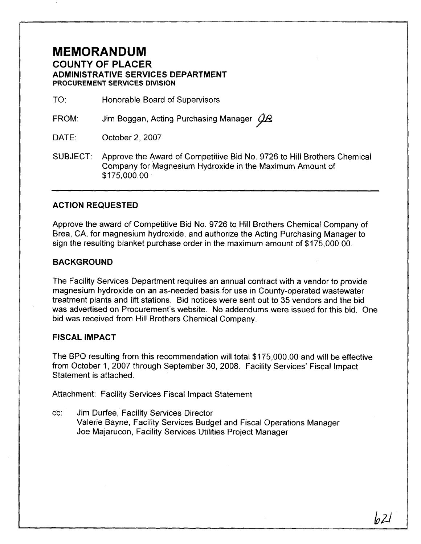## **MEMORANDUM COUNTY OF PLACER ADMINISTRATIVE SERVICES DEPARTMENT PROCUREMENT SERVICES DIVISION**

TO: Honorable Board of Supervisors

FROM: Jim Boggan, Acting Purchasing Manager  $\cancel{\cancel{\beta}}\mathcal{B}$ 

- DATE: October 2, 2007
- SUBJECT: Approve the Award of Competitive Bid No. 9726 to Hill Brothers Chemical Company for Magnesium Hydroxide in the Maximum Amount of \$175,000.00

### **ACTION REQUESTED**

Approve the award of Competitive Bid No. 9726 to Hill Brothers Chemical Company of Brea, CA, for magnesium hydroxide, and authorize the Acting Purchasing Manager to sign the resulting blanket purchase order in the maximum amount of \$175,000.00.

#### **BACKGROUND**

The Facility Services Department requires an annual contract with a vendor to provide magnesium hydroxide on an as-needed basis for use in County-operated wastewater treatment plants and lift stations. Bid notices were sent out to 35 vendors and the bid was advertised on Procurement's website. No addendums were issued for this bid. One bid was received from Hill Brothers Chemical Company.

#### **FISCAL IMPACT**

The BPO resulting from this recommendation will total \$175,000.00 and will be effective from October I, 2007 through September 30, 2008. Facility Services' Fiscal lmpact Statement is attached.

Attachment: Facility Services Fiscal Impact Statement

cc: Jim Durfee, Facility Services Director Valerie Bayne, Facility Services Budget and Fiscal Operations Manager Joe Majarucon, Facility Services Utilities Project Manager